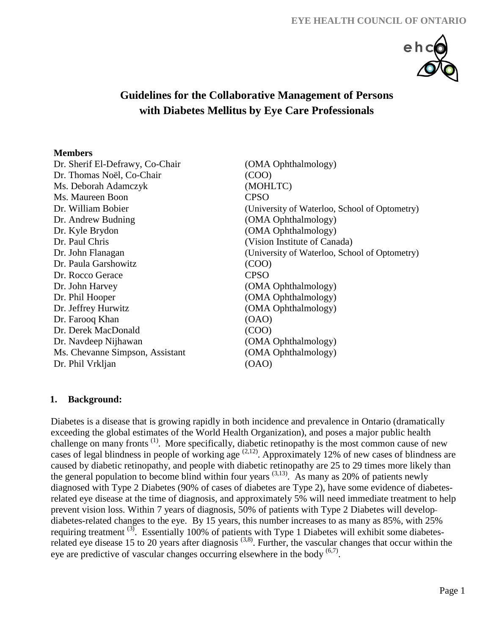

# **Guidelines for the Collaborative Management of Persons with Diabetes Mellitus by Eye Care Professionals**

#### **Members**

Dr. Sherif El-Defrawy, Co-Chair (OMA Ophthalmology) Dr. Thomas Noël, Co-Chair (COO) Ms. Deborah Adamczyk (MOHLTC) Ms. Maureen Boon CPSO Dr. Andrew Budning (OMA Ophthalmology) Dr. Kyle Brydon (OMA Ophthalmology) Dr. Paul Chris (Vision Institute of Canada) Dr. Paula Garshowitz (COO) Dr. Rocco Gerace CPSO Dr. John Harvey (OMA Ophthalmology) Dr. Phil Hooper (OMA Ophthalmology) Dr. Jeffrey Hurwitz (OMA Ophthalmology) Dr. Farooq Khan (OAO) Dr. Derek MacDonald (COO) Dr. Navdeep Nijhawan (OMA Ophthalmology) Ms. Chevanne Simpson, Assistant (OMA Ophthalmology) Dr. Phil Vrkljan (OAO)

Dr. William Bobier (University of Waterloo, School of Optometry) Dr. John Flanagan (University of Waterloo, School of Optometry)

## **1. Background:**

Diabetes is a disease that is growing rapidly in both incidence and prevalence in Ontario (dramatically exceeding the global estimates of the World Health Organization), and poses a major public health challenge on many fronts<sup>(1)</sup>. More specifically, diabetic retinopathy is the most common cause of new cases of legal blindness in people of working age  $(2,12)$ . Approximately 12% of new cases of blindness are caused by diabetic retinopathy, and people with diabetic retinopathy are 25 to 29 times more likely than the general population to become blind within four years  $(3,13)$ . As many as 20% of patients newly diagnosed with Type 2 Diabetes (90% of cases of diabetes are Type 2), have some evidence of diabetesrelated eye disease at the time of diagnosis, and approximately 5% will need immediate treatment to help prevent vision loss. Within 7 years of diagnosis, 50% of patients with Type 2 Diabetes will develop diabetes-related changes to the eye. By 15 years, this number increases to as many as 85%, with 25% requiring treatment  $^{(3)}$ . Essentially 100% of patients with Type 1 Diabetes will exhibit some diabetesrelated eye disease 15 to 20 years after diagnosis  $(3,8)$ . Further, the vascular changes that occur within the eye are predictive of vascular changes occurring elsewhere in the body  $(6,7)$ .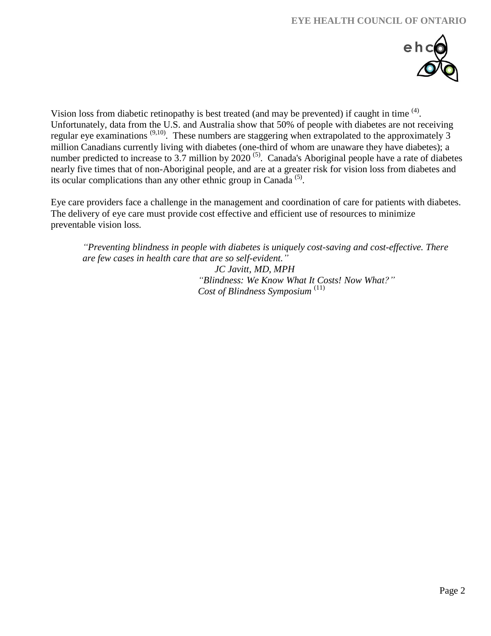

Vision loss from diabetic retinopathy is best treated (and may be prevented) if caught in time  $<sup>(4)</sup>$ .</sup> Unfortunately, data from the U.S. and Australia show that 50% of people with diabetes are not receiving regular eye examinations <sup>(9,10)</sup>. These numbers are staggering when extrapolated to the approximately 3 million Canadians currently living with diabetes (one-third of whom are unaware they have diabetes); a number predicted to increase to 3.7 million by  $2020$ <sup>(5)</sup>. Canada's Aboriginal people have a rate of diabetes nearly five times that of non-Aboriginal people, and are at a greater risk for vision loss from diabetes and its ocular complications than any other ethnic group in Canada<sup>(5)</sup>.

Eye care providers face a challenge in the management and coordination of care for patients with diabetes. The delivery of eye care must provide cost effective and efficient use of resources to minimize preventable vision loss.

*"Preventing blindness in people with diabetes is uniquely cost-saving and cost-effective. There are few cases in health care that are so self-evident." JC Javitt, MD, MPH "Blindness: We Know What It Costs! Now What?" Cost of Blindness Symposium* (11)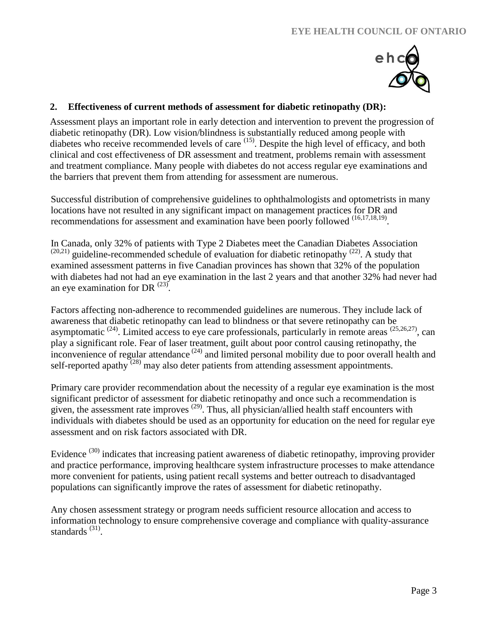

## **2. Effectiveness of current methods of assessment for diabetic retinopathy (DR):**

Assessment plays an important role in early detection and intervention to prevent the progression of diabetic retinopathy (DR). Low vision/blindness is substantially reduced among people with diabetes who receive recommended levels of care <sup>(15)</sup>. Despite the high level of efficacy, and both clinical and cost effectiveness of DR assessment and treatment, problems remain with assessment and treatment compliance. Many people with diabetes do not access regular eye examinations and the barriers that prevent them from attending for assessment are numerous.

Successful distribution of comprehensive guidelines to ophthalmologists and optometrists in many locations have not resulted in any significant impact on management practices for DR and recommendations for assessment and examination have been poorly followed <sup>(16,17,18,19)</sup>.

In Canada, only 32% of patients with Type 2 Diabetes meet the Canadian Diabetes Association  $(20,21)$  guideline-recommended schedule of evaluation for diabetic retinopathy  $(22)$ . A study that examined assessment patterns in five Canadian provinces has shown that 32% of the population with diabetes had not had an eye examination in the last 2 years and that another 32% had never had an eye examination for DR  $^{(23)}$ .

Factors affecting non-adherence to recommended guidelines are numerous. They include lack of awareness that diabetic retinopathy can lead to blindness or that severe retinopathy can be asymptomatic  $(24)$ . Limited access to eye care professionals, particularly in remote areas  $(25,26,27)$ , can play a significant role. Fear of laser treatment, guilt about poor control causing retinopathy, the inconvenience of regular attendance  $(24)$  and limited personal mobility due to poor overall health and self-reported apathy  $^{(28)}$  may also deter patients from attending assessment appointments.

Primary care provider recommendation about the necessity of a regular eye examination is the most significant predictor of assessment for diabetic retinopathy and once such a recommendation is given, the assessment rate improves  $(29)$ . Thus, all physician/allied health staff encounters with individuals with diabetes should be used as an opportunity for education on the need for regular eye assessment and on risk factors associated with DR.

Evidence<sup>(30)</sup> indicates that increasing patient awareness of diabetic retinopathy, improving provider and practice performance, improving healthcare system infrastructure processes to make attendance more convenient for patients, using patient recall systems and better outreach to disadvantaged populations can significantly improve the rates of assessment for diabetic retinopathy.

Any chosen assessment strategy or program needs sufficient resource allocation and access to information technology to ensure comprehensive coverage and compliance with quality-assurance standards<sup>(31)</sup>.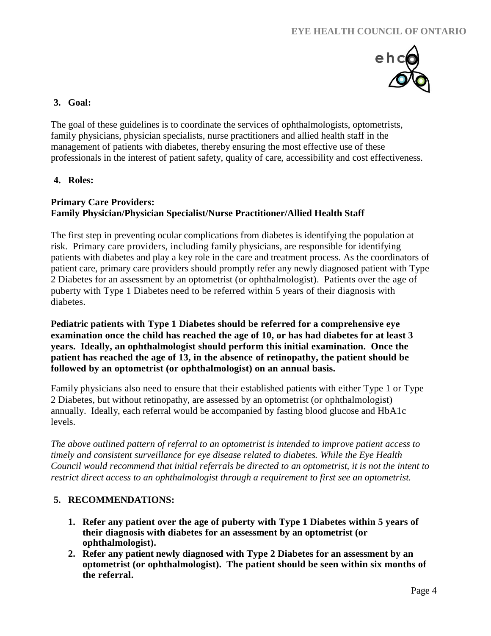

### **3. Goal:**

The goal of these guidelines is to coordinate the services of ophthalmologists, optometrists, family physicians, physician specialists, nurse practitioners and allied health staff in the management of patients with diabetes, thereby ensuring the most effective use of these professionals in the interest of patient safety, quality of care, accessibility and cost effectiveness.

**4. Roles:**

## **Primary Care Providers: Family Physician/Physician Specialist/Nurse Practitioner/Allied Health Staff**

The first step in preventing ocular complications from diabetes is identifying the population at risk. Primary care providers, including family physicians, are responsible for identifying patients with diabetes and play a key role in the care and treatment process. As the coordinators of patient care, primary care providers should promptly refer any newly diagnosed patient with Type 2 Diabetes for an assessment by an optometrist (or ophthalmologist). Patients over the age of puberty with Type 1 Diabetes need to be referred within 5 years of their diagnosis with diabetes.

**Pediatric patients with Type 1 Diabetes should be referred for a comprehensive eye examination once the child has reached the age of 10, or has had diabetes for at least 3 years. Ideally, an ophthalmologist should perform this initial examination. Once the patient has reached the age of 13, in the absence of retinopathy, the patient should be followed by an optometrist (or ophthalmologist) on an annual basis.**

Family physicians also need to ensure that their established patients with either Type 1 or Type 2 Diabetes, but without retinopathy, are assessed by an optometrist (or ophthalmologist) annually. Ideally, each referral would be accompanied by fasting blood glucose and HbA1c levels.

*The above outlined pattern of referral to an optometrist is intended to improve patient access to timely and consistent surveillance for eye disease related to diabetes. While the Eye Health Council would recommend that initial referrals be directed to an optometrist, it is not the intent to restrict direct access to an ophthalmologist through a requirement to first see an optometrist.* 

## **5. RECOMMENDATIONS:**

- **1. Refer any patient over the age of puberty with Type 1 Diabetes within 5 years of their diagnosis with diabetes for an assessment by an optometrist (or ophthalmologist).**
- **2. Refer any patient newly diagnosed with Type 2 Diabetes for an assessment by an optometrist (or ophthalmologist). The patient should be seen within six months of the referral.**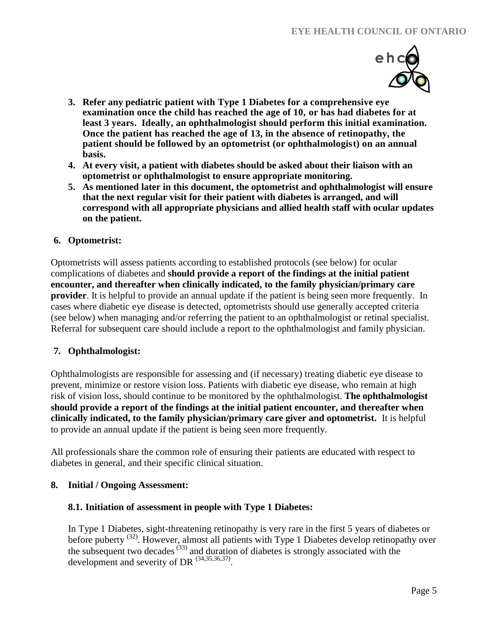

- **3. Refer any pediatric patient with Type 1 Diabetes for a comprehensive eye examination once the child has reached the age of 10, or has had diabetes for at least 3 years. Ideally, an ophthalmologist should perform this initial examination. Once the patient has reached the age of 13, in the absence of retinopathy, the patient should be followed by an optometrist (or ophthalmologist) on an annual basis.**
- **4. At every visit, a patient with diabetes should be asked about their liaison with an optometrist or ophthalmologist to ensure appropriate monitoring.**
- **5. As mentioned later in this document, the optometrist and ophthalmologist will ensure that the next regular visit for their patient with diabetes is arranged, and will correspond with all appropriate physicians and allied health staff with ocular updates on the patient.**

## **6. Optometrist:**

Optometrists will assess patients according to established protocols (see below) for ocular complications of diabetes and **should provide a report of the findings at the initial patient encounter, and thereafter when clinically indicated, to the family physician/primary care provider**. It is helpful to provide an annual update if the patient is being seen more frequently. In cases where diabetic eye disease is detected, optometrists should use generally accepted criteria (see below) when managing and/or referring the patient to an ophthalmologist or retinal specialist. Referral for subsequent care should include a report to the ophthalmologist and family physician.

### **7. Ophthalmologist:**

Ophthalmologists are responsible for assessing and (if necessary) treating diabetic eye disease to prevent, minimize or restore vision loss. Patients with diabetic eye disease, who remain at high risk of vision loss, should continue to be monitored by the ophthalmologist. **The ophthalmologist should provide a report of the findings at the initial patient encounter, and thereafter when clinically indicated, to the family physician/primary care giver and optometrist.** It is helpful to provide an annual update if the patient is being seen more frequently.

All professionals share the common role of ensuring their patients are educated with respect to diabetes in general, and their specific clinical situation.

### **8. Initial / Ongoing Assessment:**

### **8.1. Initiation of assessment in people with Type 1 Diabetes:**

In Type 1 Diabetes, sight-threatening retinopathy is very rare in the first 5 years of diabetes or before puberty<sup>(32)</sup>. However, almost all patients with Type 1 Diabetes develop retinopathy over the subsequent two decades<sup> $(33)$ </sup> and duration of diabetes is strongly associated with the development and severity of DR  $^{(34,35,36,37)}$ .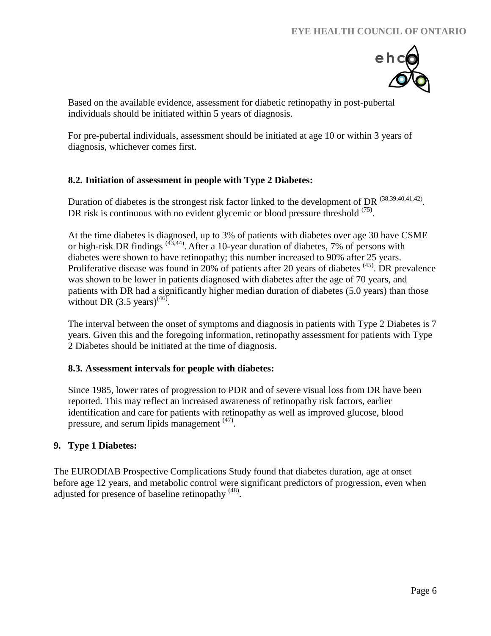

Based on the available evidence, assessment for diabetic retinopathy in post-pubertal individuals should be initiated within 5 years of diagnosis.

For pre-pubertal individuals, assessment should be initiated at age 10 or within 3 years of diagnosis, whichever comes first.

## **8.2. Initiation of assessment in people with Type 2 Diabetes:**

Duration of diabetes is the strongest risk factor linked to the development of DR  $^{(38,39,40,41,42)}$ . DR risk is continuous with no evident glycemic or blood pressure threshold <sup>(75)</sup>.

At the time diabetes is diagnosed, up to 3% of patients with diabetes over age 30 have CSME or high-risk DR findings  $(43,44)$ . After a 10-year duration of diabetes, 7% of persons with diabetes were shown to have retinopathy; this number increased to 90% after 25 years. Proliferative disease was found in 20% of patients after 20 years of diabetes  $(45)$ . DR prevalence was shown to be lower in patients diagnosed with diabetes after the age of 70 years, and patients with DR had a significantly higher median duration of diabetes (5.0 years) than those without DR  $(3.5 \text{ years})^{(46)}$ .

The interval between the onset of symptoms and diagnosis in patients with Type 2 Diabetes is 7 years. Given this and the foregoing information, retinopathy assessment for patients with Type 2 Diabetes should be initiated at the time of diagnosis.

### **8.3. Assessment intervals for people with diabetes:**

Since 1985, lower rates of progression to PDR and of severe visual loss from DR have been reported. This may reflect an increased awareness of retinopathy risk factors, earlier identification and care for patients with retinopathy as well as improved glucose, blood pressure, and serum lipids management <sup>(47)</sup>.

## **9. Type 1 Diabetes:**

The EURODIAB Prospective Complications Study found that diabetes duration, age at onset before age 12 years, and metabolic control were significant predictors of progression, even when adjusted for presence of baseline retinopathy  $(48)$ .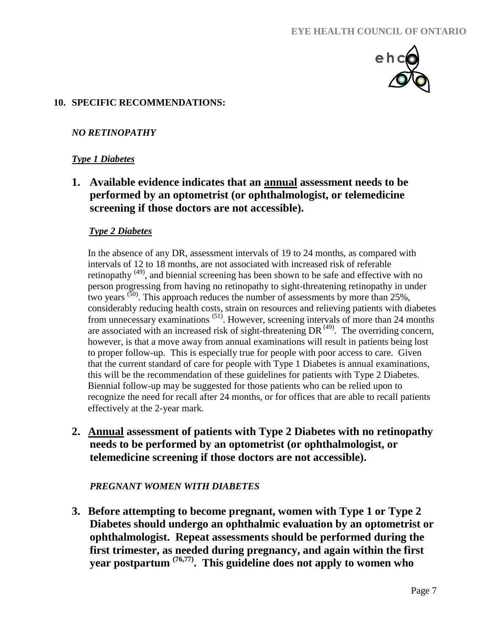

## **10. SPECIFIC RECOMMENDATIONS:**

## *NO RETINOPATHY*

## *Type 1 Diabetes*

**1.****Available evidence indicates that an annual assessment needs to be performed by an optometrist (or ophthalmologist, or telemedicine screening if those doctors are not accessible).**

### *Type 2 Diabetes*

In the absence of any DR, assessment intervals of 19 to 24 months, as compared with intervals of 12 to 18 months, are not associated with increased risk of referable retinopathy  $(49)$ , and biennial screening has been shown to be safe and effective with no person progressing from having no retinopathy to sight-threatening retinopathy in under two years  $^{(50)}$ . This approach reduces the number of assessments by more than 25%, considerably reducing health costs, strain on resources and relieving patients with diabetes from unnecessary examinations <sup>(51)</sup>. However, screening intervals of more than 24 months are associated with an increased risk of sight-threatening DR $^{(49)}$ . The overriding concern, however, is that a move away from annual examinations will result in patients being lost to proper follow-up. This is especially true for people with poor access to care. Given that the current standard of care for people with Type 1 Diabetes is annual examinations, this will be the recommendation of these guidelines for patients with Type 2 Diabetes. Biennial follow-up may be suggested for those patients who can be relied upon to recognize the need for recall after 24 months, or for offices that are able to recall patients effectively at the 2-year mark.

**2. Annual assessment of patients with Type 2 Diabetes with no retinopathy needs to be performed by an optometrist (or ophthalmologist, or telemedicine screening if those doctors are not accessible).**

### *PREGNANT WOMEN WITH DIABETES*

**3. Before attempting to become pregnant, women with Type 1 or Type 2 Diabetes should undergo an ophthalmic evaluation by an optometrist or ophthalmologist. Repeat assessments should be performed during the first trimester, as needed during pregnancy, and again within the first year postpartum (76,77). This guideline does not apply to women who**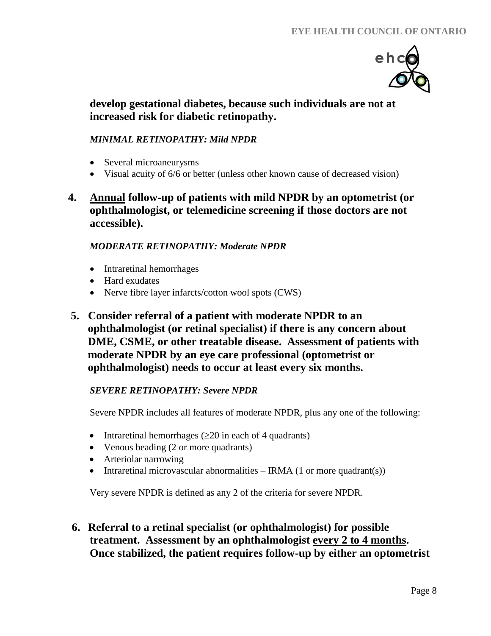

# **develop gestational diabetes, because such individuals are not at increased risk for diabetic retinopathy.**

# *MINIMAL RETINOPATHY: Mild NPDR*

- Several microaneurysms
- Visual acuity of 6/6 or better (unless other known cause of decreased vision)
- **4. Annual follow-up of patients with mild NPDR by an optometrist (or ophthalmologist, or telemedicine screening if those doctors are not accessible).**

## *MODERATE RETINOPATHY: Moderate NPDR*

- Intraretinal hemorrhages
- Hard exudates
- Nerve fibre layer infarcts/cotton wool spots (CWS)
- **5. Consider referral of a patient with moderate NPDR to an ophthalmologist (or retinal specialist) if there is any concern about DME, CSME, or other treatable disease. Assessment of patients with moderate NPDR by an eye care professional (optometrist or ophthalmologist) needs to occur at least every six months.**

## *SEVERE RETINOPATHY: Severe NPDR*

Severe NPDR includes all features of moderate NPDR, plus any one of the following:

- Intraretinal hemorrhages  $(\geq 20)$  in each of 4 quadrants)
- Venous beading (2 or more quadrants)
- Arteriolar narrowing
- Intraretinal microvascular abnormalities IRMA  $(1 \text{ or more quadrant(s)})$

Very severe NPDR is defined as any 2 of the criteria for severe NPDR.

**6. Referral to a retinal specialist (or ophthalmologist) for possible treatment. Assessment by an ophthalmologist every 2 to 4 months. Once stabilized, the patient requires follow-up by either an optometrist**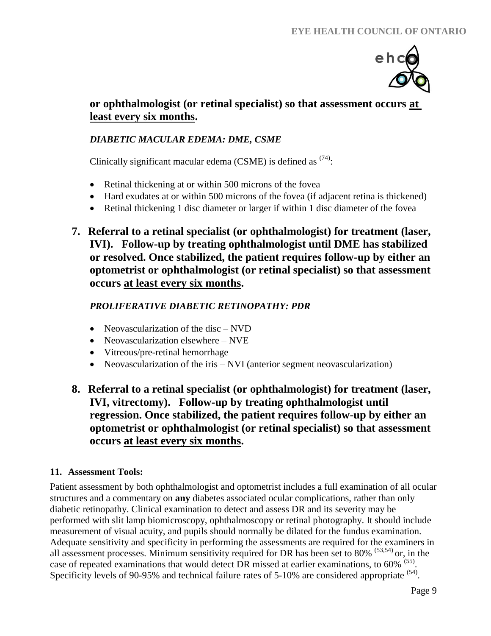

# **or ophthalmologist (or retinal specialist) so that assessment occurs at least every six months.**

# *DIABETIC MACULAR EDEMA: DME, CSME*

Clinically significant macular edema (CSME) is defined as  $(74)$ :

- Retinal thickening at or within 500 microns of the fovea
- Hard exudates at or within 500 microns of the fovea (if adjacent retina is thickened)
- Retinal thickening 1 disc diameter or larger if within 1 disc diameter of the fovea
- **7. Referral to a retinal specialist (or ophthalmologist) for treatment (laser, IVI). Follow-up by treating ophthalmologist until DME has stabilized or resolved. Once stabilized, the patient requires follow-up by either an optometrist or ophthalmologist (or retinal specialist) so that assessment occurs at least every six months.**

# *PROLIFERATIVE DIABETIC RETINOPATHY: PDR*

- Neovascularization of the disc NVD
- Neovascularization elsewhere NVE
- Vitreous/pre-retinal hemorrhage
- Neovascularization of the iris NVI (anterior segment neovascularization)

# **8. Referral to a retinal specialist (or ophthalmologist) for treatment (laser, IVI, vitrectomy). Follow-up by treating ophthalmologist until regression. Once stabilized, the patient requires follow-up by either an optometrist or ophthalmologist (or retinal specialist) so that assessment occurs at least every six months.**

## **11. Assessment Tools:**

Patient assessment by both ophthalmologist and optometrist includes a full examination of all ocular structures and a commentary on **any** diabetes associated ocular complications, rather than only diabetic retinopathy. Clinical examination to detect and assess DR and its severity may be performed with slit lamp biomicroscopy, ophthalmoscopy or retinal photography. It should include measurement of visual acuity, and pupils should normally be dilated for the fundus examination. Adequate sensitivity and specificity in performing the assessments are required for the examiners in all assessment processes. Minimum sensitivity required for DR has been set to 80% (53,54) or, in the case of repeated examinations that would detect DR missed at earlier examinations, to 60% (55). Specificity levels of 90-95% and technical failure rates of 5-10% are considered appropriate <sup>(54)</sup>.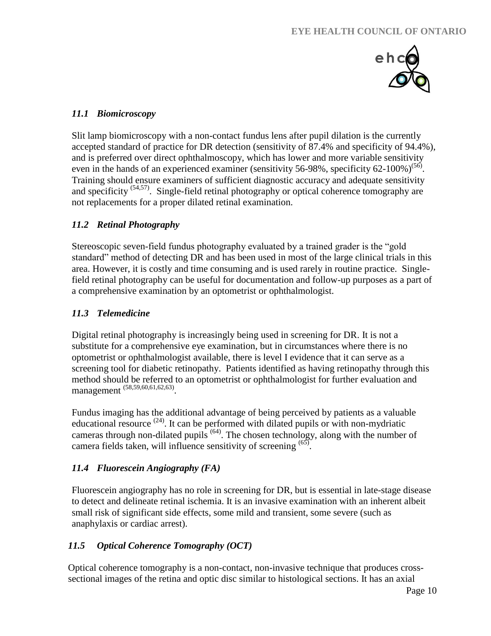

## *11.1 Biomicroscopy*

Slit lamp biomicroscopy with a non-contact fundus lens after pupil dilation is the currently accepted standard of practice for DR detection (sensitivity of 87.4% and specificity of 94.4%), and is preferred over direct ophthalmoscopy, which has lower and more variable sensitivity even in the hands of an experienced examiner (sensitivity 56-98%, specificity 62-100%)<sup>(56)</sup>. Training should ensure examiners of sufficient diagnostic accuracy and adequate sensitivity and specificity  $(54,57)$ . Single-field retinal photography or optical coherence tomography are not replacements for a proper dilated retinal examination.

# *11.2 Retinal Photography*

Stereoscopic seven-field fundus photography evaluated by a trained grader is the "gold standard" method of detecting DR and has been used in most of the large clinical trials in this area. However, it is costly and time consuming and is used rarely in routine practice. Singlefield retinal photography can be useful for documentation and follow-up purposes as a part of a comprehensive examination by an optometrist or ophthalmologist.

## *11.3 Telemedicine*

Digital retinal photography is increasingly being used in screening for DR. It is not a substitute for a comprehensive eye examination, but in circumstances where there is no optometrist or ophthalmologist available, there is level I evidence that it can serve as a screening tool for diabetic retinopathy. Patients identified as having retinopathy through this method should be referred to an optometrist or ophthalmologist for further evaluation and management (58,59,60,61,62,63).

Fundus imaging has the additional advantage of being perceived by patients as a valuable educational resource  $(24)$ . It can be performed with dilated pupils or with non-mydriatic cameras through non-dilated pupils  $<sup>(64)</sup>$ . The chosen technology, along with the number of</sup> camera fields taken, will influence sensitivity of screening (65).

# *11.4 Fluorescein Angiography (FA)*

Fluorescein angiography has no role in screening for DR, but is essential in late-stage disease to detect and delineate retinal ischemia. It is an invasive examination with an inherent albeit small risk of significant side effects, some mild and transient, some severe (such as anaphylaxis or cardiac arrest).

# *11.5 Optical Coherence Tomography (OCT)*

Optical coherence tomography is a non-contact, non-invasive technique that produces crosssectional images of the retina and optic disc similar to histological sections. It has an axial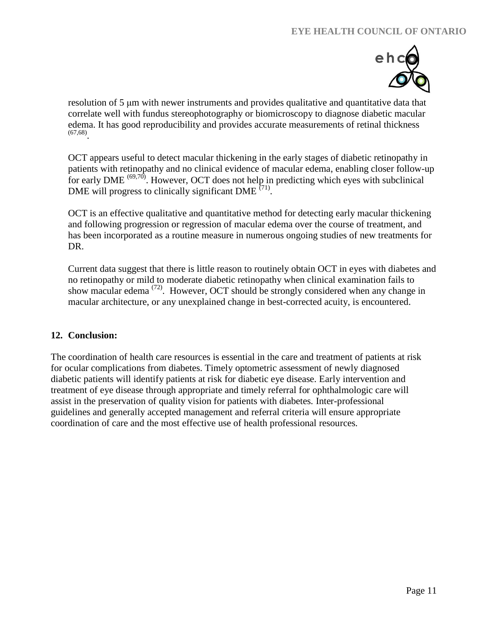

resolution of 5 μm with newer instruments and provides qualitative and quantitative data that correlate well with fundus stereophotography or biomicroscopy to diagnose diabetic macular edema. It has good reproducibility and provides accurate measurements of retinal thickness (67,68) .

OCT appears useful to detect macular thickening in the early stages of diabetic retinopathy in patients with retinopathy and no clinical evidence of macular edema, enabling closer follow-up for early DME <sup>(69,70)</sup>. However, OCT does not help in predicting which eyes with subclinical DME will progress to clinically significant DME  $(71)$ .

OCT is an effective qualitative and quantitative method for detecting early macular thickening and following progression or regression of macular edema over the course of treatment, and has been incorporated as a routine measure in numerous ongoing studies of new treatments for DR.

Current data suggest that there is little reason to routinely obtain OCT in eyes with diabetes and no retinopathy or mild to moderate diabetic retinopathy when clinical examination fails to show macular edema (72). However, OCT should be strongly considered when any change in macular architecture, or any unexplained change in best-corrected acuity, is encountered.

### **12. Conclusion:**

The coordination of health care resources is essential in the care and treatment of patients at risk for ocular complications from diabetes. Timely optometric assessment of newly diagnosed diabetic patients will identify patients at risk for diabetic eye disease. Early intervention and treatment of eye disease through appropriate and timely referral for ophthalmologic care will assist in the preservation of quality vision for patients with diabetes. Inter-professional guidelines and generally accepted management and referral criteria will ensure appropriate coordination of care and the most effective use of health professional resources.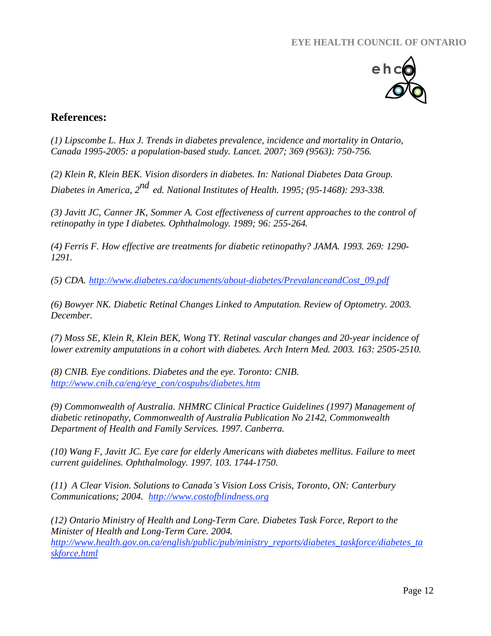

# **References:**

*(1) Lipscombe L. Hux J. Trends in diabetes prevalence, incidence and mortality in Ontario, Canada 1995-2005: a population-based study. Lancet. 2007; 369 (9563): 750-756.*

*(2) Klein R, Klein BEK. Vision disorders in diabetes. In: National Diabetes Data Group. Diabetes in America, 2 nd ed. National Institutes of Health. 1995; (95-1468): 293-338.*

*(3) Javitt JC, Canner JK, Sommer A. Cost effectiveness of current approaches to the control of retinopathy in type I diabetes. Ophthalmology. 1989; 96: 255-264.*

*(4) Ferris F. How effective are treatments for diabetic retinopathy? JAMA. 1993. 269: 1290- 1291.*

*(5) CDA. [http://www.diabetes.ca/documents/about-diabetes/PrevalanceandCost\\_09.pdf](http://www.diabetes.ca/documents/about-diabetes/PrevalanceandCost_09.pdf)*

*(6) Bowyer NK. Diabetic Retinal Changes Linked to Amputation. Review of Optometry. 2003. December.*

*(7) Moss SE, Klein R, Klein BEK, Wong TY. Retinal vascular changes and 20-year incidence of lower extremity amputations in a cohort with diabetes. Arch Intern Med. 2003. 163: 2505-2510.*

*(8) CNIB. Eye conditions. Diabetes and the eye. Toronto: CNIB. [http://www.cnib.ca/eng/eye\\_con/cospubs/diabetes.htm](http://www.cnib.ca/eng/eye_con/cospubs/diabetes.htm)*

*(9) Commonwealth of Australia. NHMRC Clinical Practice Guidelines (1997) Management of diabetic retinopathy, Commonwealth of Australia Publication No 2142, Commonwealth Department of Health and Family Services. 1997. Canberra.*

*(10) Wang F, Javitt JC. Eye care for elderly Americans with diabetes mellitus. Failure to meet current guidelines. Ophthalmology. 1997. 103. 1744-1750.*

*(11) A Clear Vision. Solutions to Canada's Vision Loss Crisis, Toronto, ON: Canterbury Communications; 2004. [http://www.costofblindness.org](http://www.costofblindness.org/)*

*(12) Ontario Ministry of Health and Long-Term Care. Diabetes Task Force, Report to the Minister of Health and Long-Term Care. 2004. [http://www.health.gov.on.ca/english/public/pub/ministry\\_reports/diabetes\\_taskforce/diabetes\\_ta](http://www.health.gov.on.ca/english/public/pub/ministry_reports/diabetes_taskforce/diabetes_ta)*

*skforce.html*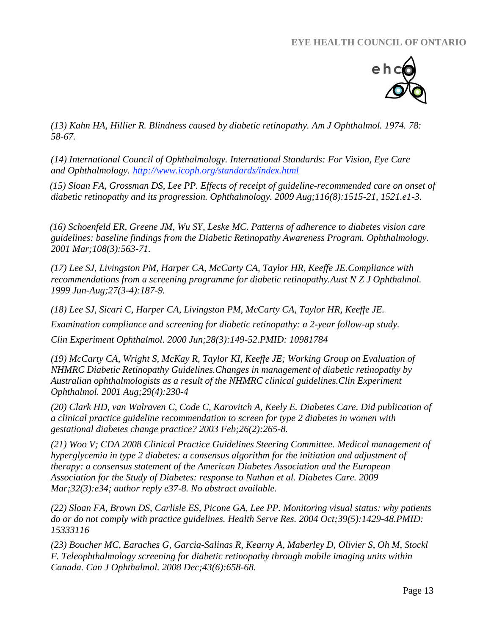

*(13) Kahn HA, Hillier R. Blindness caused by diabetic retinopathy. Am J Ophthalmol. 1974. 78: 58-67.*

*(14) International Council of Ophthalmology. International Standards: For Vision, Eye Care and Ophthalmology.<http://www.icoph.org/standards/index.html>*

 *(15) Sloan FA, Grossman DS, Lee PP. [Effects of receipt of guideline-recommended care on onset of](http://www.ncbi.nlm.nih.gov/pubmed/19651311)  [diabetic retinopathy and its progression.](http://www.ncbi.nlm.nih.gov/pubmed/19651311) Ophthalmology. 2009 Aug;116(8):1515-21, 1521.e1-3.*

 *(16) [Schoenfeld ER,](http://www.ncbi.nlm.nih.gov/pubmed?term=%22Schoenfeld%20ER%22%5BAuthor%5D) [Greene JM,](http://www.ncbi.nlm.nih.gov/pubmed?term=%22Greene%20JM%22%5BAuthor%5D) [Wu SY,](http://www.ncbi.nlm.nih.gov/pubmed?term=%22Wu%20SY%22%5BAuthor%5D) [Leske MC.](http://www.ncbi.nlm.nih.gov/pubmed?term=%22Leske%20MC%22%5BAuthor%5D) Patterns of adherence to diabetes vision care guidelines: baseline findings from the Diabetic Retinopathy Awareness Program. [Ophthalmology.](javascript:AL_get(this,%20) 2001 Mar;108(3):563-71.*

*(17) Lee SJ, Livingston PM, Harper CA, McCarty CA, Taylor HR, Keeffe JE[.Compliance with](http://www.ncbi.nlm.nih.gov/pubmed/10484187)  [recommendations from a screening programme for diabetic retinopathy.A](http://www.ncbi.nlm.nih.gov/pubmed/10484187)ust N Z J Ophthalmol. 1999 Jun-Aug;27(3-4):187-9.*

*(18) Lee SJ, Sicari C, Harper CA, Livingston PM, McCarty CA, Taylor HR, Keeffe JE. [Examination compliance and screening for diabetic retinopathy: a 2-year follow-up study.](http://www.ncbi.nlm.nih.gov/pubmed/10981784) Clin Experiment Ophthalmol. 2000 Jun;28(3):149-52.PMID: 10981784* 

*(19) McCarty CA, Wright S, McKay R, Taylor KI, Keeffe JE; Working Group on Evaluation of NHMRC Diabetic Retinopathy Guidelines[.Changes in management of diabetic retinopathy by](http://www.ncbi.nlm.nih.gov/pubmed/11545421)  [Australian ophthalmologists as a result of the NHMRC clinical guidelines.C](http://www.ncbi.nlm.nih.gov/pubmed/11545421)lin Experiment Ophthalmol. 2001 Aug;29(4):230-4*

*(20) [Clark HD,](http://www.ncbi.nlm.nih.gov/pubmed?term=%22Clark%20HD%22%5BAuthor%5D) [van Walraven C,](http://www.ncbi.nlm.nih.gov/pubmed?term=%22van%20Walraven%20C%22%5BAuthor%5D) [Code C,](http://www.ncbi.nlm.nih.gov/pubmed?term=%22Code%20C%22%5BAuthor%5D) [Karovitch A,](http://www.ncbi.nlm.nih.gov/pubmed?term=%22Karovitch%20A%22%5BAuthor%5D) [Keely E.](http://www.ncbi.nlm.nih.gov/pubmed?term=%22Keely%20E%22%5BAuthor%5D) [Diabetes Care.](javascript:AL_get(this,%20) Did publication of a clinical practice guideline recommendation to screen for type 2 diabetes in women with gestational diabetes change practice? 2003 Feb;26(2):265-8.*

*(21) Woo V; CDA 2008 Clinical Practice Guidelines Steering Committee. [Medical management of](http://www.ncbi.nlm.nih.gov/pubmed/19246585)  [hyperglycemia in type 2 diabetes: a consensus algorithm for the initiation and adjustment of](http://www.ncbi.nlm.nih.gov/pubmed/19246585)  [therapy: a consensus statement of the American Diabetes Association and the European](http://www.ncbi.nlm.nih.gov/pubmed/19246585)  [Association for the Study of Diabetes: response to Nathan et al.](http://www.ncbi.nlm.nih.gov/pubmed/19246585) Diabetes Care. 2009 Mar;32(3):e34; author reply e37-8. No abstract available.*

*(22) Sloan FA, Brown DS, Carlisle ES, Picone GA, Lee PP. [Monitoring visual status: why patients](http://www.ncbi.nlm.nih.gov/pubmed/15333116)  [do or do not comply with practice guidelines.](http://www.ncbi.nlm.nih.gov/pubmed/15333116) Health Serve Res. 2004 Oct;39(5):1429-48.PMID: 15333116* 

*(23) [Boucher MC,](http://www.ncbi.nlm.nih.gov/pubmed?term=%22Boucher%20MC%22%5BAuthor%5D) [Earaches G,](http://www.ncbi.nlm.nih.gov/pubmed?term=%22Desroches%20G%22%5BAuthor%5D) [Garcia-Salinas R,](http://www.ncbi.nlm.nih.gov/pubmed?term=%22Garcia-Salinas%20R%22%5BAuthor%5D) [Kearny A,](http://www.ncbi.nlm.nih.gov/pubmed?term=%22Kherani%20A%22%5BAuthor%5D) [Maberley D,](http://www.ncbi.nlm.nih.gov/pubmed?term=%22Maberley%20D%22%5BAuthor%5D) [Olivier S,](http://www.ncbi.nlm.nih.gov/pubmed?term=%22Olivier%20S%22%5BAuthor%5D) [Oh M,](http://www.ncbi.nlm.nih.gov/pubmed?term=%22Oh%20M%22%5BAuthor%5D) [Stockl](http://www.ncbi.nlm.nih.gov/pubmed?term=%22Stockl%20F%22%5BAuthor%5D)  [F.](http://www.ncbi.nlm.nih.gov/pubmed?term=%22Stockl%20F%22%5BAuthor%5D) Teleophthalmology screening for diabetic retinopathy through mobile imaging units within Canada. [Can J Ophthalmol.](javascript:AL_get(this,%20) 2008 Dec;43(6):658-68.*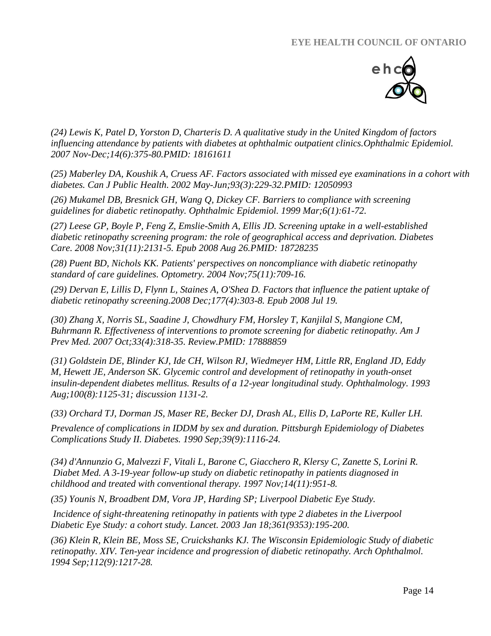

*(24) Lewis K, Patel D, Yorston D, Charteris D. [A qualitative study in the United Kingdom of factors](http://www.ncbi.nlm.nih.gov/pubmed/18161611)  [influencing attendance by patients with diabetes at ophthalmic outpatient clinics.O](http://www.ncbi.nlm.nih.gov/pubmed/18161611)phthalmic Epidemiol. 2007 Nov-Dec;14(6):375-80.PMID: 18161611* 

*(25) Maberley DA, Koushik A, Cruess AF. [Factors associated with missed eye examinations in a cohort with](http://www.ncbi.nlm.nih.gov/pubmed/12050993)  [diabetes.](http://www.ncbi.nlm.nih.gov/pubmed/12050993) Can J Public Health. 2002 May-Jun;93(3):229-32.PMID: 12050993* 

*(26) [Mukamel DB,](http://www.ncbi.nlm.nih.gov/pubmed?term=%22Mukamel%20DB%22%5BAuthor%5D) [Bresnick GH,](http://www.ncbi.nlm.nih.gov/pubmed?term=%22Bresnick%20GH%22%5BAuthor%5D) [Wang Q,](http://www.ncbi.nlm.nih.gov/pubmed?term=%22Wang%20Q%22%5BAuthor%5D) [Dickey CF.](http://www.ncbi.nlm.nih.gov/pubmed?term=%22Dickey%20CF%22%5BAuthor%5D) Barriers to compliance with screening guidelines for diabetic retinopathy. [Ophthalmic Epidemiol.](javascript:AL_get(this,%20) 1999 Mar;6(1):61-72.*

*(27) Leese GP, Boyle P, Feng Z, Emslie-Smith A, Ellis JD. [Screening uptake in a well-established](http://www.ncbi.nlm.nih.gov/pubmed/18728235)  [diabetic retinopathy screening program: the role of geographical access and deprivation.](http://www.ncbi.nlm.nih.gov/pubmed/18728235) Diabetes Care. 2008 Nov;31(11):2131-5. Epub 2008 Aug 26.PMID: 18728235* 

*(28) [Puent BD,](http://www.ncbi.nlm.nih.gov/pubmed?term=%22Puent%20BD%22%5BAuthor%5D) [Nichols KK.](http://www.ncbi.nlm.nih.gov/pubmed?term=%22Nichols%20KK%22%5BAuthor%5D) Patients' perspectives on noncompliance with diabetic retinopathy standard of care guidelines. [Optometry.](javascript:AL_get(this,%20) 2004 Nov;75(11):709-16.*

*(29) [Dervan E,](http://www.ncbi.nlm.nih.gov/pubmed?term=%22Dervan%20E%22%5BAuthor%5D) [Lillis D,](http://www.ncbi.nlm.nih.gov/pubmed?term=%22Lillis%20D%22%5BAuthor%5D) [Flynn L,](http://www.ncbi.nlm.nih.gov/pubmed?term=%22Flynn%20L%22%5BAuthor%5D) [Staines A,](http://www.ncbi.nlm.nih.gov/pubmed?term=%22Staines%20A%22%5BAuthor%5D) [O'Shea D.](http://www.ncbi.nlm.nih.gov/pubmed?term=%22O) Factors that influence the patient uptake of diabetic retinopathy screening.2008 Dec;177(4):303-8. Epub 2008 Jul 19.*

*(30) Zhang X, Norris SL, Saadine J, Chowdhury FM, Horsley T, Kanjilal S, Mangione CM, Buhrmann R. [Effectiveness of interventions to promote screening for](http://www.ncbi.nlm.nih.gov/pubmed/17888859) diabetic retinopathy. Am J Prev Med. 2007 Oct;33(4):318-35. Review.PMID: 17888859* 

*(31) Goldstein DE, Blinder KJ, Ide CH, Wilson RJ, Wiedmeyer HM, Little RR, England JD, Eddy M, Hewett JE, Anderson SK. [Glycemic control and development of retinopathy in youth-onset](http://www.ncbi.nlm.nih.gov/pubmed/8341491)  [insulin-dependent diabetes mellitus. Results of a 12-year longitudinal study.](http://www.ncbi.nlm.nih.gov/pubmed/8341491) Ophthalmology. 1993 Aug;100(8):1125-31; discussion 1131-2.*

*(33) Orchard TJ, Dorman JS, Maser RE, Becker DJ, Drash AL, Ellis D, LaPorte RE, Kuller LH.*

*[Prevalence of complications in IDDM by sex and duration. Pittsburgh Epidemiology of Diabetes](http://www.ncbi.nlm.nih.gov/pubmed/2384191)  [Complications Study II.](http://www.ncbi.nlm.nih.gov/pubmed/2384191) Diabetes. 1990 Sep;39(9):1116-24.*

*(34) [d'Annunzio G,](http://www.ncbi.nlm.nih.gov/pubmed?term=%22d) [Malvezzi F,](http://www.ncbi.nlm.nih.gov/pubmed?term=%22Malvezzi%20F%22%5BAuthor%5D) [Vitali L,](http://www.ncbi.nlm.nih.gov/pubmed?term=%22Vitali%20L%22%5BAuthor%5D) [Barone C,](http://www.ncbi.nlm.nih.gov/pubmed?term=%22Barone%20C%22%5BAuthor%5D) [Giacchero R,](http://www.ncbi.nlm.nih.gov/pubmed?term=%22Giacchero%20R%22%5BAuthor%5D) [Klersy C,](http://www.ncbi.nlm.nih.gov/pubmed?term=%22Klersy%20C%22%5BAuthor%5D) [Zanette S,](http://www.ncbi.nlm.nih.gov/pubmed?term=%22Zanette%20S%22%5BAuthor%5D) [Lorini R.](http://www.ncbi.nlm.nih.gov/pubmed?term=%22Lorini%20R%22%5BAuthor%5D) [Diabet Med.](javascript:AL_get(this,%20) A 3-19-year follow-up study on diabetic retinopathy in patients diagnosed in childhood and treated with conventional therapy. 1997 Nov;14(11):951-8.*

*(35) Younis N, Broadbent DM, Vora JP, Harding SP; Liverpool Diabetic Eye Study.*

*[Incidence of sight-threatening retinopathy in patients](http://www.ncbi.nlm.nih.gov/pubmed/12547541) with type 2 diabetes in the Liverpool [Diabetic Eye Study: a cohort study.](http://www.ncbi.nlm.nih.gov/pubmed/12547541) Lancet. 2003 Jan 18;361(9353):195-200.*

*(36) Klein R, Klein BE, Moss SE, Cruickshanks KJ. [The Wisconsin Epidemiologic Study](http://www.ncbi.nlm.nih.gov/pubmed/7619101) of diabetic [retinopathy. XIV. Ten-year incidence and progression of diabetic retinopathy.](http://www.ncbi.nlm.nih.gov/pubmed/7619101) Arch Ophthalmol. 1994 Sep;112(9):1217-28.*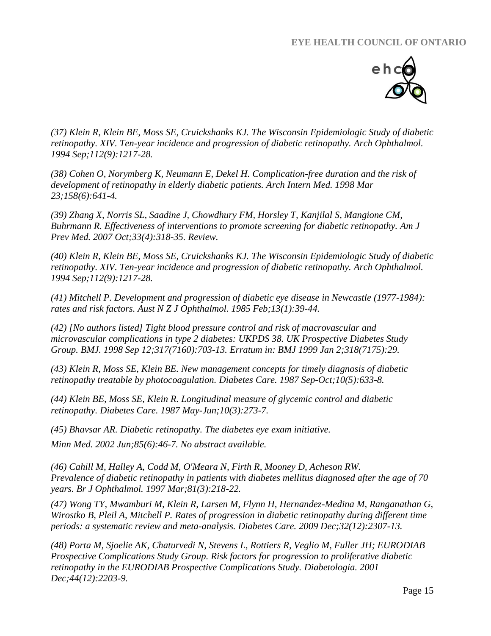

*(37) Klein R, Klein BE, Moss SE, Cruickshanks KJ. [The Wisconsin Epidemiologic Study of diabetic](http://www.ncbi.nlm.nih.gov/pubmed/7619101)  [retinopathy. XIV. Ten-year incidence and progression of diabetic retinopathy.](http://www.ncbi.nlm.nih.gov/pubmed/7619101) Arch Ophthalmol. 1994 Sep;112(9):1217-28.*

*(38) Cohen O, Norymberg K, Neumann E, Dekel H. [Complication-free duration and the risk of](http://www.ncbi.nlm.nih.gov/pubmed/9521229)  [development of retinopathy in elderly diabetic patients.](http://www.ncbi.nlm.nih.gov/pubmed/9521229) Arch Intern Med. 1998 Mar 23;158(6):641-4.*

*(39) Zhang X, Norris SL, Saadine J, Chowdhury FM, Horsley T, Kanjilal S, Mangione CM, Buhrmann R. [Effectiveness of interventions to promote screening for diabetic retinopathy.](http://www.ncbi.nlm.nih.gov/pubmed/17888859) Am J Prev Med. 2007 Oct;33(4):318-35. Review.*

*(40) Klein R, Klein BE, Moss SE, Cruickshanks KJ. [The Wisconsin Epidemiologic Study of diabetic](http://www.ncbi.nlm.nih.gov/pubmed/7619101)  [retinopathy. XIV. Ten-year incidence and progression of diabetic retinopathy.](http://www.ncbi.nlm.nih.gov/pubmed/7619101) Arch Ophthalmol. 1994 Sep;112(9):1217-28.*

*(41) Mitchell P. [Development and progression of diabetic eye disease in Newcastle \(1977-1984\):](http://www.ncbi.nlm.nih.gov/pubmed/4015877)  [rates and risk factors.](http://www.ncbi.nlm.nih.gov/pubmed/4015877) Aust N Z J Ophthalmol. 1985 Feb;13(1):39-44.*

*(42) [No authors listed] [Tight blood pressure control and risk of macrovascular and](http://www.ncbi.nlm.nih.gov/pubmed/9732337)  [microvascular complications in type 2 diabetes: UKPDS 38. UK Prospective Diabetes Study](http://www.ncbi.nlm.nih.gov/pubmed/9732337)  [Group.](http://www.ncbi.nlm.nih.gov/pubmed/9732337) BMJ. 1998 Sep 12;317(7160):703-13. Erratum in: BMJ 1999 Jan 2;318(7175):29.*

*(43) Klein R, Moss SE, Klein BE. [New management concepts for timely diagnosis of diabetic](http://www.ncbi.nlm.nih.gov/pubmed/3677985)  [retinopathy treatable by photocoagulation.](http://www.ncbi.nlm.nih.gov/pubmed/3677985) Diabetes Care. 1987 Sep-Oct;10(5):633-8.*

*(44) Klein BE, Moss SE, Klein R. [Longitudinal measure of glycemic control and diabetic](http://www.ncbi.nlm.nih.gov/pubmed/3297576)  [retinopathy.](http://www.ncbi.nlm.nih.gov/pubmed/3297576) Diabetes Care. 1987 May-Jun;10(3):273-7.*

*(45) Bhavsar AR. [Diabetic retinopathy. The diabetes eye exam](http://www.ncbi.nlm.nih.gov/pubmed/12092439) initiative.*

*Minn Med. 2002 Jun;85(6):46-7. No abstract available.*

*(46) [Cahill M,](http://www.ncbi.nlm.nih.gov/pubmed?term=%22Cahill%20M%22%5BAuthor%5D) [Halley A,](http://www.ncbi.nlm.nih.gov/pubmed?term=%22Halley%20A%22%5BAuthor%5D) [Codd M,](http://www.ncbi.nlm.nih.gov/pubmed?term=%22Codd%20M%22%5BAuthor%5D) [O'Meara N,](http://www.ncbi.nlm.nih.gov/pubmed?term=%22O) [Firth R,](http://www.ncbi.nlm.nih.gov/pubmed?term=%22Firth%20R%22%5BAuthor%5D) [Mooney D,](http://www.ncbi.nlm.nih.gov/pubmed?term=%22Mooney%20D%22%5BAuthor%5D) [Acheson RW.](http://www.ncbi.nlm.nih.gov/pubmed?term=%22Acheson%20RW%22%5BAuthor%5D) Prevalence of diabetic retinopathy in patients with diabetes mellitus diagnosed after the age of 70 years. [Br J Ophthalmol.](javascript:AL_get(this,%20) 1997 Mar;81(3):218-22.*

*(47) Wong TY, Mwamburi M, Klein R, Larsen M, Flynn H, Hernandez-Medina M, Ranganathan G, Wirostko B, Pleil A, Mitchell P. [Rates of progression in diabetic retinopathy during different time](http://www.ncbi.nlm.nih.gov/pubmed/19940227)  [periods: a systematic review and meta-analysis.](http://www.ncbi.nlm.nih.gov/pubmed/19940227) Diabetes Care. 2009 Dec;32(12):2307-13.*

*(48) Porta M, Sjoelie AK, Chaturvedi N, Stevens L, Rottiers R, Veglio M, Fuller JH; EURODIAB Prospective Complications Study Group. [Risk factors for progression to proliferative diabetic](http://www.ncbi.nlm.nih.gov/pubmed/11793022)  [retinopathy in the EURODIAB Prospective Complications Study.](http://www.ncbi.nlm.nih.gov/pubmed/11793022) Diabetologia. 2001 Dec;44(12):2203-9.*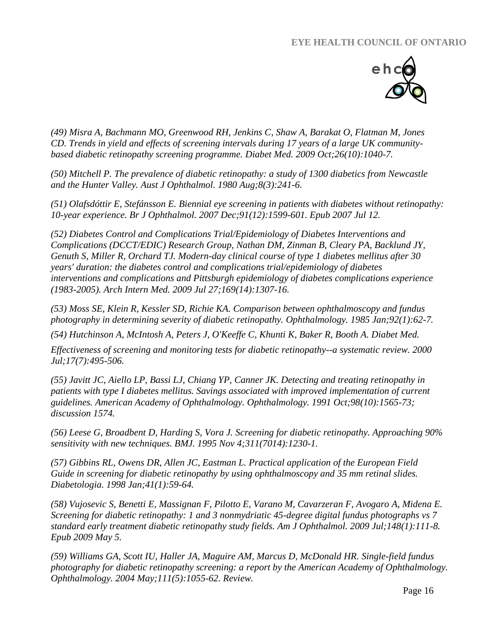

*(49) Misra A, Bachmann MO, Greenwood RH, Jenkins C, Shaw A, Barakat O, Flatman M, Jones CD. [Trends in yield and effects of screening intervals during 17 years of a large UK community](http://www.ncbi.nlm.nih.gov/pubmed/19900237)[based diabetic retinopathy screening programme.](http://www.ncbi.nlm.nih.gov/pubmed/19900237) Diabet Med. 2009 Oct;26(10):1040-7.*

*(50) Mitchell P. [The prevalence of diabetic retinopathy: a study of 1300 diabetics from Newcastle](http://www.ncbi.nlm.nih.gov/pubmed/6158940)  [and the Hunter Valley.](http://www.ncbi.nlm.nih.gov/pubmed/6158940) Aust J Ophthalmol. 1980 Aug;8(3):241-6.*

*(51) Olafsdóttir E, Stefánsson E. [Biennial eye screening in patients with diabetes without retinopathy:](http://www.ncbi.nlm.nih.gov/pubmed/17627978)  [10-year experience.](http://www.ncbi.nlm.nih.gov/pubmed/17627978) Br J Ophthalmol. 2007 Dec;91(12):1599-601. Epub 2007 Jul 12.*

*(52) Diabetes Control and Complications Trial/Epidemiology of Diabetes Interventions and Complications (DCCT/EDIC) Research Group, Nathan DM, Zinman B, Cleary PA, Backlund JY, Genuth S, Miller R, Orchard TJ. [Modern-day clinical course of type 1 diabetes](http://www.ncbi.nlm.nih.gov/pubmed/19636033) mellitus after 30 [years' duration: the diabetes control and complications trial/epidemiology of diabetes](http://www.ncbi.nlm.nih.gov/pubmed/19636033)  [interventions and complications and Pittsburgh epidemiology of diabetes complications experience](http://www.ncbi.nlm.nih.gov/pubmed/19636033)  [\(1983-2005\).](http://www.ncbi.nlm.nih.gov/pubmed/19636033) Arch Intern Med. 2009 Jul 27;169(14):1307-16.*

*(53) Moss SE, Klein R, Kessler SD, Richie KA. [Comparison between ophthalmoscopy and fundus](http://www.ncbi.nlm.nih.gov/pubmed/2579361)  [photography in determining severity of diabetic retinopathy.](http://www.ncbi.nlm.nih.gov/pubmed/2579361) Ophthalmology. 1985 Jan;92(1):62-7.*

*(54) [Hutchinson A,](http://www.ncbi.nlm.nih.gov/pubmed?term=%22Hutchinson%20A%22%5BAuthor%5D) [McIntosh A,](http://www.ncbi.nlm.nih.gov/pubmed?term=%22McIntosh%20A%22%5BAuthor%5D) [Peters J,](http://www.ncbi.nlm.nih.gov/pubmed?term=%22Peters%20J%22%5BAuthor%5D) [O'Keeffe C,](http://www.ncbi.nlm.nih.gov/pubmed?term=%22O) [Khunti K,](http://www.ncbi.nlm.nih.gov/pubmed?term=%22Khunti%20K%22%5BAuthor%5D) [Baker R,](http://www.ncbi.nlm.nih.gov/pubmed?term=%22Baker%20R%22%5BAuthor%5D) [Booth A.](http://www.ncbi.nlm.nih.gov/pubmed?term=%22Booth%20A%22%5BAuthor%5D) [Diabet Med.](javascript:AL_get(this,%20)*

*Effectiveness of screening and monitoring tests for diabetic retinopathy--a systematic review. 2000 Jul;17(7):495-506.*

*(55) Javitt JC, Aiello LP, Bassi LJ, Chiang YP, Canner JK. [Detecting and treating retinopathy in](http://www.ncbi.nlm.nih.gov/pubmed/1961646)  [patients with type I diabetes mellitus. Savings associated with improved implementation of current](http://www.ncbi.nlm.nih.gov/pubmed/1961646)  [guidelines. American Academy of Ophthalmology.](http://www.ncbi.nlm.nih.gov/pubmed/1961646) Ophthalmology. 1991 Oct;98(10):1565-73; discussion 1574.*

*(56) Leese G, Broadbent D, Harding S, Vora J. [Screening for diabetic retinopathy. Approaching 90%](http://www.ncbi.nlm.nih.gov/pubmed/7488930)  [sensitivity with new techniques.](http://www.ncbi.nlm.nih.gov/pubmed/7488930) BMJ. 1995 Nov 4;311(7014):1230-1.* 

*(57) Gibbins RL, Owens DR, Allen JC, Eastman L. [Practical application of the European Field](http://www.ncbi.nlm.nih.gov/pubmed/9498631)  [Guide in screening for diabetic retinopathy by using ophthalmoscopy and 35 mm retinal slides.](http://www.ncbi.nlm.nih.gov/pubmed/9498631) Diabetologia. 1998 Jan;41(1):59-64.*

*(58) Vujosevic S, Benetti E, Massignan F, Pilotto E, Varano M, Cavarzeran F, Avogaro A, Midena E. [Screening for diabetic retinopathy: 1 and 3 nonmydriatic 45-degree digital fundus photographs vs 7](http://www.ncbi.nlm.nih.gov/pubmed/19406376)  [standard early treatment diabetic retinopathy study fields.](http://www.ncbi.nlm.nih.gov/pubmed/19406376) Am J Ophthalmol. 2009 Jul;148(1):111-8. Epub 2009 May 5.*

*(59) Williams GA, Scott IU, Haller JA, Maguire AM, Marcus D, McDonald HR. [Single-field fundus](http://www.ncbi.nlm.nih.gov/pubmed/15121388)  [photography for diabetic retinopathy screening: a report by the American Academy of Ophthalmology.](http://www.ncbi.nlm.nih.gov/pubmed/15121388) Ophthalmology. 2004 May;111(5):1055-62. Review.*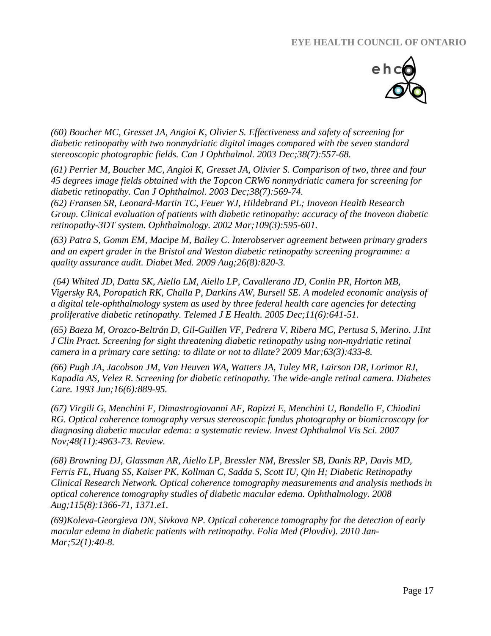

*(60) Boucher MC, Gresset JA, Angioi K, Olivier S. [Effectiveness and safety of screening for](http://www.ncbi.nlm.nih.gov/pubmed/14740797)  [diabetic retinopathy with two nonmydriatic digital images compared with the seven standard](http://www.ncbi.nlm.nih.gov/pubmed/14740797)  [stereoscopic photographic fields.](http://www.ncbi.nlm.nih.gov/pubmed/14740797) Can J Ophthalmol. 2003 Dec;38(7):557-68.*

*(61) [Perrier M,](http://www.ncbi.nlm.nih.gov/pubmed?term=%22Perrier%20M%22%5BAuthor%5D) [Boucher MC,](http://www.ncbi.nlm.nih.gov/pubmed?term=%22Boucher%20MC%22%5BAuthor%5D) [Angioi K,](http://www.ncbi.nlm.nih.gov/pubmed?term=%22Angioi%20K%22%5BAuthor%5D) [Gresset JA,](http://www.ncbi.nlm.nih.gov/pubmed?term=%22Gresset%20JA%22%5BAuthor%5D) [Olivier S.](http://www.ncbi.nlm.nih.gov/pubmed?term=%22Olivier%20S%22%5BAuthor%5D) Comparison of two, three and four 45 degrees image fields obtained with the Topcon CRW6 nonmydriatic camera for screening for diabetic retinopathy. [Can J Ophthalmol.](javascript:AL_get(this,%20) 2003 Dec;38(7):569-74.*

*(62) [Fransen SR,](http://www.ncbi.nlm.nih.gov/pubmed?term=%22Fransen%20SR%22%5BAuthor%5D) [Leonard-Martin TC,](http://www.ncbi.nlm.nih.gov/pubmed?term=%22Leonard-Martin%20TC%22%5BAuthor%5D) [Feuer WJ,](http://www.ncbi.nlm.nih.gov/pubmed?term=%22Feuer%20WJ%22%5BAuthor%5D) [Hildebrand PL;](http://www.ncbi.nlm.nih.gov/pubmed?term=%22Hildebrand%20PL%22%5BAuthor%5D) [Inoveon Health Research](http://www.ncbi.nlm.nih.gov/pubmed?term=%22Inoveon%20Health%20Research%20Group%22%5BCorporate%20Author%5D)  [Group.](http://www.ncbi.nlm.nih.gov/pubmed?term=%22Inoveon%20Health%20Research%20Group%22%5BCorporate%20Author%5D) Clinical evaluation of patients with diabetic retinopathy: accuracy of the Inoveon diabetic retinopathy-3DT system. [Ophthalmology.](javascript:AL_get(this,%20) 2002 Mar;109(3):595-601.*

*(63) [Patra S,](http://www.ncbi.nlm.nih.gov/pubmed?term=%22Patra%20S%22%5BAuthor%5D) [Gomm EM,](http://www.ncbi.nlm.nih.gov/pubmed?term=%22Gomm%20EM%22%5BAuthor%5D) [Macipe M,](http://www.ncbi.nlm.nih.gov/pubmed?term=%22Macipe%20M%22%5BAuthor%5D) [Bailey C.](http://www.ncbi.nlm.nih.gov/pubmed?term=%22Bailey%20C%22%5BAuthor%5D) Interobserver agreement between primary graders and an expert grader in the Bristol and Weston diabetic retinopathy screening programme: a quality assurance audit. [Diabet Med.](javascript:AL_get(this,%20) 2009 Aug;26(8):820-3.*

*(64) Whited JD, Datta SK, Aiello LM, Aiello LP, Cavallerano JD, Conlin PR, Horton MB, Vigersky RA, Poropatich RK, Challa P, Darkins AW, Bursell SE. [A modeled economic analysis of](http://www.ncbi.nlm.nih.gov/pubmed/16430383)  [a digital tele-ophthalmology system as used by three federal health care agencies for detecting](http://www.ncbi.nlm.nih.gov/pubmed/16430383)  [proliferative diabetic retinopathy.](http://www.ncbi.nlm.nih.gov/pubmed/16430383) Telemed J E Health. 2005 Dec;11(6):641-51.*

*(65) [Baeza M,](http://www.ncbi.nlm.nih.gov/pubmed?term=%22Baeza%20M%22%5BAuthor%5D) [Orozco-Beltrán D,](http://www.ncbi.nlm.nih.gov/pubmed?term=%22Orozco-Beltr%C3%A1n%20D%22%5BAuthor%5D) [Gil-Guillen VF,](http://www.ncbi.nlm.nih.gov/pubmed?term=%22Gil-Guillen%20VF%22%5BAuthor%5D) [Pedrera V,](http://www.ncbi.nlm.nih.gov/pubmed?term=%22Pedrera%20V%22%5BAuthor%5D) [Ribera MC,](http://www.ncbi.nlm.nih.gov/pubmed?term=%22Ribera%20MC%22%5BAuthor%5D) [Pertusa S,](http://www.ncbi.nlm.nih.gov/pubmed?term=%22Pertusa%20S%22%5BAuthor%5D) [Merino. J.](http://www.ncbi.nlm.nih.gov/pubmed?term=%22Merino%20J%22%5BAuthor%5D)[Int](javascript:AL_get(this,%20)  [J Clin Pract.](javascript:AL_get(this,%20) Screening for sight threatening diabetic retinopathy using non-mydriatic retinal camera in a primary care setting: to dilate or not to dilate? 2009 Mar;63(3):433-8.*

*(66) Pugh JA, Jacobson JM, Van Heuven WA, Watters JA, Tuley MR, Lairson DR, Lorimor RJ, Kapadia AS, Velez R. [Screening for diabetic retinopathy. The wide-angle retinal camera.](http://www.ncbi.nlm.nih.gov/pubmed/8100761) Diabetes Care. 1993 Jun;16(6):889-95.*

*(67) Virgili G, Menchini F, Dimastrogiovanni AF, Rapizzi E, Menchini U, Bandello F, Chiodini RG. [Optical coherence tomography versus stereoscopic fundus photography or biomicroscopy for](http://www.ncbi.nlm.nih.gov/pubmed/17962446)  [diagnosing diabetic macular edema: a systematic review.](http://www.ncbi.nlm.nih.gov/pubmed/17962446) Invest Ophthalmol Vis Sci. 2007 Nov;48(11):4963-73. Review.*

*(68) Browning DJ, Glassman AR, Aiello LP, Bressler NM, Bressler SB, Danis RP, Davis MD, Ferris FL, Huang SS, Kaiser PK, Kollman C, Sadda S, Scott IU, Qin H; Diabetic Retinopathy Clinical Research Network. [Optical coherence tomography measurements and analysis methods in](http://www.ncbi.nlm.nih.gov/pubmed/18675696)  [optical coherence tomography studies of diabetic macular edema.](http://www.ncbi.nlm.nih.gov/pubmed/18675696) Ophthalmology. 2008 Aug;115(8):1366-71, 1371.e1.*

*(69[\)Koleva-Georgieva DN,](http://www.ncbi.nlm.nih.gov/pubmed?term=%22Koleva-Georgieva%20DN%22%5BAuthor%5D) [Sivkova NP.](http://www.ncbi.nlm.nih.gov/pubmed?term=%22Sivkova%20NP%22%5BAuthor%5D) Optical coherence tomography for the detection of early macular edema in diabetic patients with retinopathy. [Folia Med \(Plovdiv\).](javascript:AL_get(this,%20) 2010 Jan-Mar;52(1):40-8.*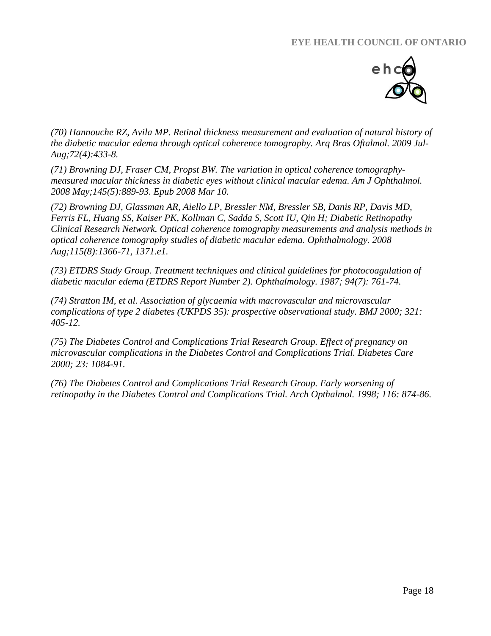

*(70) Hannouche RZ, Avila MP. [Retinal thickness measurement and evaluation of natural history of](http://www.ncbi.nlm.nih.gov/pubmed/19820779)  [the diabetic macular edema through optical coherence tomography.](http://www.ncbi.nlm.nih.gov/pubmed/19820779) Arq Bras Oftalmol. 2009 Jul-Aug;72(4):433-8.*

*(71) [Browning DJ,](http://www.ncbi.nlm.nih.gov/pubmed?term=%22Browning%20DJ%22%5BAuthor%5D) [Fraser CM,](http://www.ncbi.nlm.nih.gov/pubmed?term=%22Fraser%20CM%22%5BAuthor%5D) [Propst BW.](http://www.ncbi.nlm.nih.gov/pubmed?term=%22Propst%20BW%22%5BAuthor%5D) The variation in optical coherence tomographymeasured macular thickness in diabetic eyes without clinical macular edema. [Am J Ophthalmol.](javascript:AL_get(this,%20) 2008 May;145(5):889-93. Epub 2008 Mar 10.*

*(72) Browning DJ, Glassman AR, Aiello LP, Bressler NM, Bressler SB, Danis RP, Davis MD, Ferris FL, Huang SS, Kaiser PK, Kollman C, Sadda S, Scott IU, Qin H; Diabetic Retinopathy Clinical Research Network. [Optical coherence tomography measurements and analysis methods in](http://www.ncbi.nlm.nih.gov/pubmed/18675696)  [optical coherence tomography studies of diabetic macular edema.](http://www.ncbi.nlm.nih.gov/pubmed/18675696) Ophthalmology. 2008 Aug;115(8):1366-71, 1371.e1.*

*(73) ETDRS Study Group. Treatment techniques and clinical guidelines for photocoagulation of diabetic macular edema (ETDRS Report Number 2). Ophthalmology. 1987; 94(7): 761-74.*

*(74) Stratton IM, et al. Association of glycaemia with macrovascular and microvascular complications of type 2 diabetes (UKPDS 35): prospective observational study. BMJ 2000; 321: 405-12.*

*(75) The Diabetes Control and Complications Trial Research Group. Effect of pregnancy on microvascular complications in the Diabetes Control and Complications Trial. Diabetes Care 2000; 23: 1084-91.*

*(76) The Diabetes Control and Complications Trial Research Group. Early worsening of retinopathy in the Diabetes Control and Complications Trial. Arch Opthalmol. 1998; 116: 874-86.*